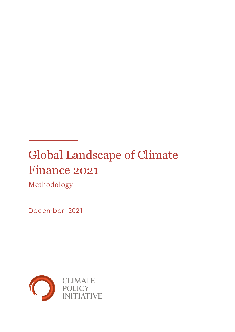# Global Landscape of Climate Finance 2021

Methodology

December, 2021

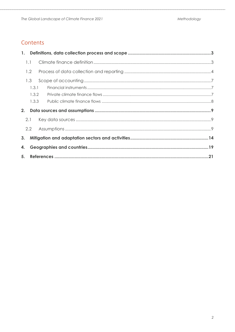### Contents

| 1.1 |               |  |
|-----|---------------|--|
|     | 1.2           |  |
|     | 1.3           |  |
|     | 1.3.1         |  |
|     | 1.3.2         |  |
|     | 1.3.3         |  |
| 2.  |               |  |
| 2.1 |               |  |
|     | $2.2^{\circ}$ |  |
|     |               |  |
| 4.  |               |  |
|     |               |  |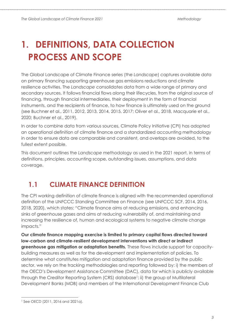## <span id="page-2-0"></span>**1. DEFINITIONS, DATA COLLECTION PROCESS AND SCOPE**

The Global Landscape of Climate Finance series (the *Landscape*) captures available data on primary financing supporting greenhouse gas emissions reductions and climate resilience activities. The *Landscape* consolidates data from a wide range of primary and secondary sources. It follows financial flows along their lifecycles, from the original source of financing, through financial intermediaries, their deployment in the form of financial instruments, and the recipients of finance, to how finance is ultimately used on the ground (see Buchner et al., 2011, 2012, 2013, 2014, 2015, 2017; Oliver et al., 2018, Macquarie et al., 2020; Buchner et al., 2019).

In order to combine data from various sources, Climate Policy Initiative (CPI) has adopted an operational definition of climate finance and a standardized accounting methodology in order to ensure data are comparable and consistent, and overlaps are avoided, to the fullest extent possible.

This document outlines the *Landscape* methodology as used in the 2021 report, in terms of definitions, principles, accounting scope, outstanding issues, assumptions, and data coverage.

### <span id="page-2-1"></span>**1.1 CLIMATE FINANCE DEFINITION**

The CPI working definition of climate finance is aligned with the recommended operational definition of the UNFCCC Standing Committee on Finance (see UNFCCC SCF, 2014, 2016, 2018, 2020), which states: "Climate finance aims at reducing emissions, and enhancing sinks of greenhouse gases and aims at reducing vulnerability of, and maintaining and increasing the resilience of, human and ecological systems to negative climate change impacts."

**Our climate finance mapping exercise is limited to primary capital flows directed toward low-carbon and climate-resilient development interventions with direct or indirect greenhouse gas mitigation or adaptation benefits.** These flows include support for capacitybuilding measures as well as for the development and implementation of policies. To determine what constitutes mitigation and adaptation finance provided by the public sector, we rely on the tracking methodologies and reporting followed by: i) the members of the OECD's Development Assistance Committee (DAC), data for which is publicly available through the Creditor Reporting System (CRS) database<sup>1</sup>; ii) the group of Multilateral Development Banks (MDB) and members of the International Development Finance Club

<sup>1</sup> See OECD (2011, 2016 and 2021a).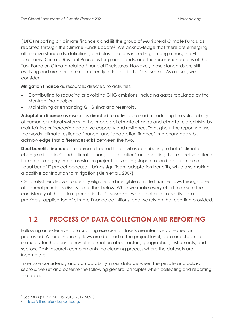(IDFC) reporting on climate finance <sup>2</sup> ; and iii) the group of Multilateral Climate Funds, as reported through the Climate Funds Update<sup>3</sup> . We acknowledge that there are emerging alternative standards, definitions, and classifications including, among others, the EU taxonomy, Climate Resilient Principles for green bonds, and the recommendations of the Task Force on Climate-related Financial Disclosures. However, these standards are still evolving and are therefore not currently reflected in the *Landscape*. As a result, we consider:

**Mitigation finance** as resources directed to activities:

- Contributing to reducing or avoiding GHG emissions, including gases regulated by the Montreal Protocol; or
- Maintaining or enhancing GHG sinks and reservoirs.

**Adaptation finance** as resources directed to activities aimed at reducing the vulnerability of human or natural systems to the impacts of climate change and climate-related risks, by maintaining or increasing adaptive capacity and resilience. Throughout the report we use the words 'climate resilience finance' and 'adaptation finance' interchangeably but acknowledge that differences exist between the two.

**Dual benefits finance** as resources directed to activities contributing to both "climate change mitigation" and "climate change adaptation" and meeting the respective criteria for each category. An afforestation project preventing slope erosion is an example of a "dual benefit" project because it brings significant adaptation benefits, while also making a positive contribution to mitigation (Klein et al., 2007).

CPI analysts endeavor to identify eligible and ineligible climate finance flows through a set of general principles discussed further below. While we make every effort to ensure the consistency of the data reported in the *Landscape*, we do not audit or verify data providers' application of climate finance definitions, and we rely on the reporting provided.

## <span id="page-3-0"></span>**1.2 PROCESS OF DATA COLLECTION AND REPORTING**

Following an extensive data scoping exercise, datasets are intensively cleaned and processed. Where financing flows are detailed at the project level, data are checked manually for the consistency of information about actors, geographies, instruments, and sectors. Desk research complements the cleaning process where the datasets are incomplete.

To ensure consistency and comparability in our data between the private and public sectors, we set and observe the following general principles when collecting and reporting the data:

<sup>2</sup> See MDB (2015a, 2015b, 2018, 2019, 2021).

<sup>3</sup> [https://climatefundsupdate.org/.](https://climatefundsupdate.org/)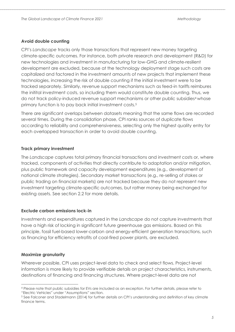#### **Avoid double counting**

CPI's *Landscape* tracks only those transactions that represent new money targeting climate-specific outcomes. For instance, both private research and development (R&D) for new technologies and investment in manufacturing for low-GHG and climate-resilient development are excluded, because at the technology deployment stage such costs are capitalized and factored in the investment amounts of new projects that implement these technologies, increasing the risk of double counting if the initial investment were to be tracked separately. Similarly, revenue support mechanisms such as feed-in tariffs reimbures the initital investment costs, so including them would constitute double counting. Thus, we do not track policy-induced revenue support mechanisms or other public subsidies<sup>4</sup> whose primary function is to pay back initial investment costs.<sup>5</sup>

There are significant overlaps between datasets meaning that the same flows are recorded several times. During the consolidation phase, CPI ranks sources of duplicate flows according to reliability and comprehensiveness, selecting only the highest quality entry for each overlapped transaction in order to avoid double counting.

#### **Track primary investment**

The *Landscape* captures total primary financial transactions and investment costs or, where tracked, components of activities that directly contribute to adaptation and/or mitigation, plus public framework and capacity development expenditures (e.g., development of national climate strategies). Secondary market transactions (e.g., re-selling of stakes or public trading on financial markets) are not tracked because they do not represent new investment targeting climate-specific outcomes, but rather money being exchanged for existing assets. See section 2.2 for more details.

#### **Exclude carbon emissions lock-in**

Investments and expenditures captured in the *Landscape* do not capture investments that have a high risk of locking in significant future greenhouse gas emissions. Based on this principle, fossil fuel-based lower-carbon and energy-efficient generation transactions, such as financing for efficiency retrofits of coal-fired power plants, are excluded.

#### **Maximize granularity**

Wherever possible, CPI uses project-level data to check and select flows. Project-level information is more likely to provide verifiable details on project characteristics, instruments, destinations of financing and financing structures. Where project-level data are not

<sup>4</sup> Please note that public subsidies for EVs are included as an exception. For further details, please refer to "Electric Vehicles" under "Assumptions" section.

<sup>5</sup> See Falconer and Stadelmann (2014) for further details on CPI's understanding and definition of key climate finance terms.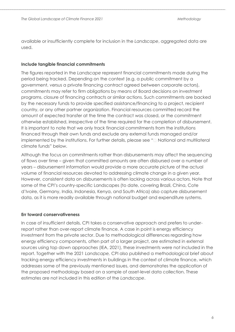available or insufficiently complete for inclusion in the *Landscape*, aggregated data are used.

#### **Include tangible financial commitments**

The figures reported in the *Landscape* represent financial commitments made during the period being tracked. Depending on the context (e.g. a public commitment by a government, versus a private financing contract agreed between corporate actors), commitments may refer to firm obligations by means of Board decisions on investment programs, closure of financing contracts or similar actions. Such commitments are backed by the necessary funds to provide specified assistance/financing to a project, recipient country, or any other partner organization. Financial resources committed record the amount of expected transfer at the time the contract was closed, or the commitment otherwise established, irrespective of the time required for the completion of disbursement. It is important to note that we only track financial commitments from the institutions financed through their own funds and exclude any external funds managed and/or implemented by the institutions. For further details, please see ["](#page-7-1) [National and multilateral](#page-7-1)  [climate funds](#page-7-1)" below.

Although the focus on commitments rather than disbursements may affect the sequencing of flows over time – given that committed amounts are often disbursed over a number of years – disbursement information would provide a more accurate picture of the actual volume of financial resources devoted to addressing climate change in a given year. However, consistent data on disbursements is often lacking across various actors. Note that some of the CPI's country-specific Landscapes (to date, covering Brazil, China, Cote d'Ivoire, Germany, India, Indonesia, Kenya, and South Africa) also capture disbursement data, as it is more readily available through national budget and expenditure systems.

#### **Err toward conservativeness**

In case of insufficient details, CPI takes a conservative approach and prefers to underreport rather than over-report climate finance. A case in point is energy efficiency investment from the private sector. Due to methodological differences regarding how energy efficiency components, often part of a larger project, are estimated in external sources using top down approaches (IEA, 2021), these investments were not included in the report. Together with the 2021 *Landscape,* CPI also published a methodological brief about tracking energy efficiency investments in buildings in the context of climate finance, which addresses some of the previously mentioned issues, and demonstrates the application of the proposed methodology based on a sample of asset-level data collection. These estimates are not included in this edition of the *Landscape*.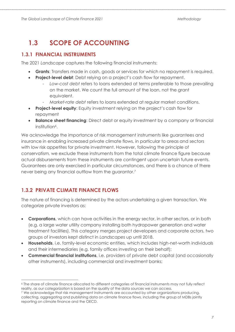### <span id="page-6-0"></span>**1.3 SCOPE OF ACCOUNTING**

#### <span id="page-6-1"></span>**1.3.1 FINANCIAL INSTRUMENTS**

The 2021 *Landscape* captures the following financial instruments:

- **Grants**: Transfers made in cash, goods or services for which no repayment is required.
- **Project-level debt**: Debt relying on a project's cash flow for repayment.
	- Low-cost debt refers to loans extended at terms preferable to those prevailing on the market. We count the full amount of the loan, not the grant equivalent.
	- *Market-rate debt* refers to loans extended at regular market conditions.
- **Project-level equity**: Equity investment relying on the project's cash flow for repayment
- **Balance sheet financing**: Direct debt or equity investment by a company or financial institution<sup>6</sup>.

We acknowledge the importance of risk management instruments like guarantees and insurance in enabling increased private climate flows, in particular to areas and sectors with low risk appetites for private investment. However, following the principle of conservatism, we exclude these instruments from the total climate finance figure because actual disbursements from these instruments are contingent upon uncertain future events. Guarantees are only exercised in particular circumstances, and there is a chance of there never being any financial outflow from the guarantor.<sup>7</sup>

#### <span id="page-6-2"></span>**1.3.2 PRIVATE CLIMATE FINANCE FLOWS**

The nature of financing is determined by the actors undertaking a given transaction. We categorize private investors as:

- **Corporations**, which can have activities in the energy sector, in other sectors, or in both (e.g. a large water utility company installing both hydropower generation and water treatment facilities). This category merges project developers and corporate actors, two groups of investors kept distinct in *Landscapes* up until 2018.
- **Households**, i.e. family-level economic entities, which includes high-net-worth individuals and their intermediaries (e.g. family offices investing on their behalf);
- **Commercial financial institutions**, i.e. providers of private debt capital (and occasionally other instruments), including commercial and investment banks;

<sup>6</sup> The share of climate finance allocated to different categories of financial instruments may not fully reflect reality, as our categorization is based on the quality of the data sources we can access.

<sup>&</sup>lt;sup>7</sup> We acknowledge that risk management instruments are accounted by other organizations producing, collecting, aggregating and publishing data on climate finance flows, including the group of MDBs jointly reporting on climate finance and the OECD.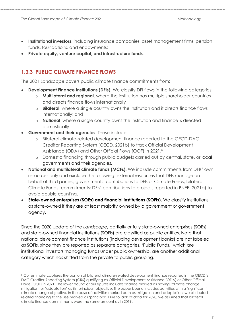- **Institutional investors**, including insurance companies, asset management firms, pension funds, foundations, and endowments;
- <span id="page-7-0"></span>• **Private equity, venture capital, and infrastructure funds**.

#### **1.3.3 PUBLIC CLIMATE FINANCE FLOWS**

The 2021 *Landscape* covers public climate finance commitments from:

- **Development Finance Institutions (DFIs).** We classify DFI flows in the following categories:
	- o **Multilateral and regional**, where the institution has multiple shareholder countries and directs finance flows internationally
	- o **Bilateral**, where a single country owns the institution and it directs finance flows internationally; and
	- o **National**, where a single country owns the institution and finance is directed domestically.
- **Government and their agencies.** These include:
	- o Bilateral climate-related development finance reported to the OECD-DAC Creditor Reporting System (OECD, 2021b) to track Official Development Assistance (ODA) and Other Official Flows (OOF) in 2021. 8
	- o Domestic financing through public budgets carried out by central, state, or local governments and their agencies.
- <span id="page-7-1"></span>• **National and multilateral climate funds (MCFs).** We include commitments from DFIs' own resources only and exclude the following: external resources that DFIs manage on behalf of third parties; governments' contributions to DFIs or Climate Funds; bilateral Climate Funds' commitments; DFIs' contributions to projects reported in BNEF (2021a) to avoid double counting.
- **State-owned enterprises (SOEs) and financial institutions (SOFIs).** We classify institutions as state-owned if they are at least majority owned by a government or government agency.

Since the 2020 update of the *Landscape*, partially or fully state-owned enterprises (SOEs) and state-owned financial institutions (SOFIs) are classified as public entities. Note that national development finance institutions (including development banks) are not labeled as SOFIs, since they are reported as separate categories. 'Public Funds,' which are institutional investors managing funds under public ownership, are another additional category which has shifted from the private to public grouping.

<sup>8</sup> Our estimate captures the portion of bilateral climate-related development finance reported in the OECD's DAC Creditor Reporting System (CRS) qualifying as Official Development Assistance (ODA) or Other Official Flows (OOF) in 2021. The lower bound of our figures includes finance marked as having 'climate change mitigation' or 'adaptation' as its 'principal' objective. The upper bound includes activities with a 'significant' climate change objective. In the case of activities marked both as mitigation and adaptation, we attributed related financing to the use marked as 'principal'. Due to lack of data for 2020, we assumed that bilateral climate finance commitments were the same amount as in 2019.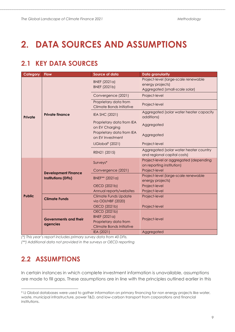## <span id="page-8-0"></span>**2. DATA SOURCES AND ASSUMPTIONS**

### <span id="page-8-1"></span>**2.1 KEY DATA SOURCES**

| Category      | <b>Flow</b>                                              | Source of data                                                                                  | <b>Data granularity</b>                                                                    |
|---------------|----------------------------------------------------------|-------------------------------------------------------------------------------------------------|--------------------------------------------------------------------------------------------|
|               | <b>Private finance</b>                                   | <b>BNEF</b> (2021a)<br>BNEF (2021b)                                                             | Project-level (large-scale renewable<br>energy projects)<br>Aggregated (small-scale solar) |
|               |                                                          | Convergence (2021)                                                                              | Project-level                                                                              |
|               |                                                          | Proprietary data from<br>Climate Bonds Initiative                                               | Project-level                                                                              |
| Private       |                                                          | IEA SHC (2021)                                                                                  | Aggregated (solar water heater capacity<br>additions)                                      |
|               |                                                          | Proprietary data from IEA<br>on EV Charging                                                     | Aggregated                                                                                 |
|               |                                                          | Proprietary data from IEA<br>on EV Investment                                                   | Aggregated                                                                                 |
|               |                                                          | IJGlobal <sup>9</sup> (2021)                                                                    | Project-level                                                                              |
|               |                                                          | REN21 (2015)                                                                                    | Aggregated (solar water heater country<br>and regional capital costs)                      |
|               | <b>Development Finance</b><br><b>Institutions (DFIs)</b> | Surveys*                                                                                        | Project-level or aggregated (depending<br>on reporting institution)                        |
|               |                                                          | Convergence (2021)                                                                              | Project-level                                                                              |
|               |                                                          | BNEF** (2021a)                                                                                  | Project-level (large-scale renewable<br>energy projects)                                   |
|               |                                                          | OECD (2021b)                                                                                    | Project-level                                                                              |
|               |                                                          | Annual reports/websites                                                                         | Project-level                                                                              |
| <b>Public</b> | <b>Climate Funds</b>                                     | <b>Climate Funds Update</b><br>via ODI/HBF (2020)                                               | Project-level                                                                              |
|               |                                                          | OECD (2021b)                                                                                    | Project-level                                                                              |
|               | <b>Governments and their</b><br>agencies                 | OECD (2021b)<br><b>BNEF</b> (2021a)<br>Proprietary data from<br><b>Climate Bonds Initiative</b> | Project-level                                                                              |
|               |                                                          | IEA (2021)                                                                                      | Aggregated                                                                                 |

*(\*) This year's report includes primary survey data from 40 DFIs.*

*(\*\*) Additional data not provided in the surveys or OECD reporting*

### <span id="page-8-2"></span>**2.2 ASSUMPTIONS**

In certain instances in which complete investment information is unavailable, assumptions are made to fill gaps. These assumptions are in line with the principles outlined earlier in this

<sup>9</sup> IJ Global databases were used to gather information on primary financing for non energy projects like water, waste, municipal infrastructure, power T&D, and low-carbon transport from corporations and financial institutions.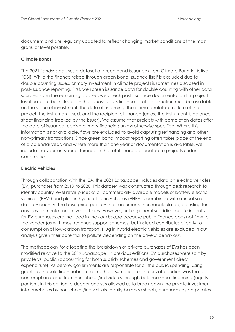document and are regularly updated to reflect changing market conditions at the most granular level possible.

#### **Climate Bonds**

The 2021 *Landscape* uses a dataset of green bond issuances from Climate Bond Initiative (CBI). While the finance raised through green bond issuance itself is excluded due to double counting issues, primary investment in climate projects is sometimes disclosed in post-issuance reporting. First, we screen issuance data for double counting with other data sources. From the remaining dataset, we check post-issuance documentation for projectlevel data. To be included in the *Landscape*'s finance totals, information must be available on the value of investment, the date of financing, the (climate-related) nature of the project, the instrument used, and the recipient of finance (unless the instrument is balance sheet financing tracked by the issuer). We assume that projects with completion dates after the date of issuance receive primary financing unless otherwise specified. Where this information is not available, flows are excluded to avoid capturing refinancing and other non-primary transactions. Since green bond impact reporting often takes place at the end of a calendar year, and where more than one year of documentation is available, we include the year-on-year difference in the total finance allocated to projects under construction.

#### **Electric vehicles**

Through collaboration with the IEA, the 2021 *Landscape* includes data on electric vehicles (EV) purchases from 2019 to 2020. This dataset was constructed through desk research to identify country-level retail prices of all commercially available models of battery electric vehicles (BEVs) and plug-in hybrid electric vehicles (PHEVs), combined with annual sales data by country. The base price paid by the consumer is then recalculated, adjusting for any governmental incentives or taxes. However, unlike general subsidies, public incentives for EV purchases are included in the *Landscape* because public finance does not flow to the vendor (as with most revenue support schemes) but instead contributes directly to consumption of low-carbon transport. Plug in hybrid electric vehicles are excluded in our analysis given their potential to pollute depending on the drivers' behaviour.

The methodology for allocating the breakdown of private purchases of EVs has been modified relative to the 2019 *Landscape*. In previous editions, EV purchases were split by private vs. public (accounting for both subsidy schemes and government direct expenditure). As before, governments are responsible for all the public spending, using grants as the sole financial instrument. The assumption for the private portion was that all consumption came from households/individuals through balance sheet financing (equity portion). In this edition, a deeper analysis allowed us to break down the private investment into purchases by households/individuals (equity balance sheet), purchases by corporates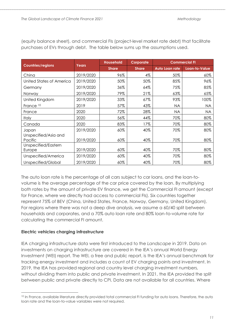|                                 | Years     | <b>Household</b> | Corporate    |                | <b>Commercial FI</b> |
|---------------------------------|-----------|------------------|--------------|----------------|----------------------|
| <b>Countries/regions</b>        |           | <b>Share</b>     | <b>Share</b> | Auto Loan rate | Loan-to-Value        |
| China                           | 2019/2020 | 96%              | 4%           | 50%            | 60%                  |
| United States of America        | 2019/2020 | 50%              | 50%          | 85%            | 96%                  |
| Germany                         | 2019/2020 | 36%              | 64%          | 75%            | 85%                  |
| Norway                          | 2019/2020 | 79%              | 21%          | 63%            | 65%                  |
| United Kingdom                  | 2019/2020 | 33%              | 67%          | 93%            | 100%                 |
| France <sup>10</sup>            | 2019      | 57%              | 43%          | <b>NA</b>      | <b>NA</b>            |
| France                          | 2020      | 72%              | 28%          | <b>NA</b>      | <b>NA</b>            |
| <b>Italy</b>                    | 2020      | 56%              | 44%          | 70%            | 80%                  |
| Canada                          | 2020      | 83%              | 17%          | 70%            | 80%                  |
| Japan                           | 2019/2020 | 60%              | 40%          | 70%            | 80%                  |
| Unspecified/Asia and<br>Pacific | 2019/2020 | 60%              | 40%          | 70%            | 80%                  |
| Unspecified/Eastern<br>Europe   | 2019/2020 | 60%              | 40%          | 70%            | 80%                  |
| Unspecified/America             | 2019/2020 | 60%              | 40%          | 70%            | 80%                  |
| Unspecified/Global              | 2019/2020 | 60%              | 40%          | 70%            | 80%                  |

(equity balance sheet), and commercial FIs (project-level market rate debt) that facilitate purchases of EVs through debt. The table below sums up the assumptions used.

The auto loan rate is the percentage of all cars subject to car loans, and the loan-tovolume is the average percentage of the car price covered by the loan. By multiplying both rates by the amount of private EV finance, we get the Commercial FI amount (except for France, where we directly had access to commercial FIs). Six countries together represent 75% of BEV (China, United States, France, Norway, Germany, United Kingdom). For regions where there was not a deep dive analysis, we assume a 60/40 split between households and corporates, and a 70% auto loan rate and 80% loan-to-volume rate for calculating the commercial FI amount.

#### **Electric vehicles charging infrastructure**

IEA charging infrastructure data were first introduced to the *Landscape* in 2019. Data on investments on charging infrastructure are covered in the IEA's annual World Energy Investment (WEI) report. The WEI, a free and public report, is the IEA's annual benchmark for tracking energy investment and includes a count of EV charging points and investment. In 2019, the IEA has provided regional and country level charging investment numbers, without dividing them into public and private investment. In 2021, the IEA provided the split between public and private directly to CPI. Data are not available for all countries. Where

<sup>&</sup>lt;sup>10</sup> In France, available literature directly provided total commercial FI funding for auto loans. Therefore, the auto loan rate and the loan-to-value variables were not required.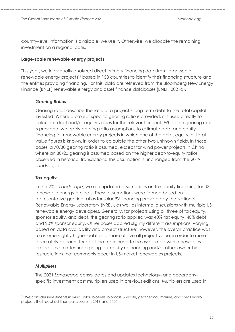country-level information is available, we use it. Otherwise, we allocate the remaining investment on a regional basis.

#### **Large-scale renewable energy projects**

This year, we individually analyzed direct primary financing data from large-scale renewable energy projects<sup>11</sup> based in 158 countries to identify their financing structure and the entities providing financing. For this, data are retrieved from the Bloomberg New Energy Finance (BNEF) renewable energy and asset finance databases (BNEF, 2021a).

#### *Gearing Ratios*

Gearing ratios describe the ratio of a project's long-term debt to the total capital invested. Where a project-specific gearing ratio is provided, it is used directly to calculate debt and/or equity values for the relevant project. Where no gearing ratio is provided, we apply gearing ratio assumptions to estimate debt and equity financing for renewable energy projects in which one of the debt, equity, or total value figures is known, in order to calculate the other two unknown fields. In these cases, a 70/30 gearing ratio is assumed, except for wind power projects in China, where an 80/20 gearing is assumed based on the higher debt-to-equity ratios observed in historical transactions. This assumption is unchanged from the 2019 *Landscape*.

#### *Tax equity*

In the 2021 *Landscape*, we use updated assumptions on tax equity financing for US renewable energy projects. These assumptions were formed based on representative gearing ratios for solar PV financing provided by the National Renewable Energy Laboratory (NREL), as well as informal discussions with multiple US renewable energy developers. Generally, for projects using all three of tax equity, sponsor equity, and debt, the gearing ratio applied was 40% tax equity, 40% debt, and 20% sponsor equity. Other cases applied slightly different assumptions, varying based on data availability and project structure; however, the overall practice was to assume slightly higher debt as a share of overall project value, in order to more accurately account for debt that continued to be associated with renewables projects even after undergoing tax equity refinancing and/or other ownership restructurings that commonly occur in US-market renewables projects.

#### *Multipliers*

The 2021 *Landscape* consolidates and updates technology- and geographyspecific investment cost multipliers used in previous editions. Multipliers are used in

<sup>11</sup> We consider investments in wind, solar, biofuels, biomass & waste, geothermal, marine, and small hydro projects that reached financial closure in 2019 and 2020.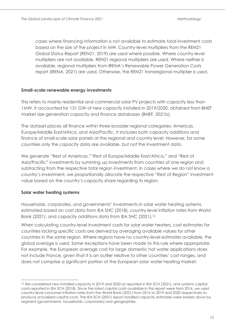cases where financing information is not available to estimate total investment costs based on the size of the project in MW. Country-level multipliers from the REN21 Global Status Report (REN21, 2019) are used where possible. Where country-level multipliers are not available, REN21 regional multipliers are used. Where neither is available, regional multipliers from IRENA's Renewable Power Generation Costs report (IRENA, 2021) are used. Otherwise, the REN21 transregional multiplier is used.

#### **Small-scale renewable energy investments**

This refers to mainly residential and commercial solar PV projects with capacity less than 1MW. It accounted for 131 GW of new capacity installed in 2019/2020, obtained from BNEF market size generation capacity and finance databases (BNEF, 2021b).

The dataset places all finance within three broader regional categories: Americas, Europe/Middle East/Africa, and Asia/Pacific. It includes both capacity additions and finance of small-scale solar panels at the regional and country level. However, for some countries only the capacity data are available, but not the investment data.

We generate "Rest of Americas,""Rest of Europe/Middle East/Africa," and "Rest of Asia/Pacific" investments by summing up investments from countries of one region and subtracting from the respective total region investment. In cases where we do not know a country's investment, we proportionally allocate the respective "Rest of Region" investment value based on the country's capacity share regarding its region.

#### **Solar water heating systems**

Households, corporates, and governments' investments in solar water heating systems, estimated based on cost data from IEA SHC (2018), country-level inflation rates from World Bank (2021), and capacity additions data from IEA SHC (2021). 12,

When calculating country-level investment costs for solar water heaters, cost estimates for countries lacking specific costs are derived by averaging available values for other countries in the same region. Where regions have no country-level estimates available, the global average is used. Some exceptions have been made to this rule where appropriate. For example, the European average cost for large domestic hot water applications does not include France, given that it is an outlier relative to other countries' cost ranges, and does not comprise a significant portion of the European solar water heating market.

<sup>&</sup>lt;sup>12</sup> We considered new installed capacity in 2019 and 2020 as reported in IEA SCH (2021), and systems capital costs reported in IEA SCH (2018). Since the latest capital costs available in this report were form 2016, we used country-level consumer-inflation rates from the World Bank (2021) from 2016 to 2019 and 2020 respectively to produce actualized capital costs. The IEA SCH (2021) report installed capacity estimates were broken down by segment (governments, households, corporates) and geographies.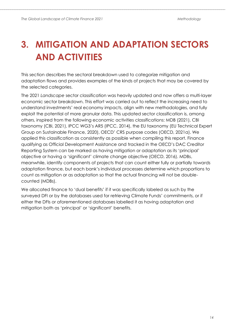## <span id="page-13-0"></span>**3. MITIGATION AND ADAPTATION SECTORS AND ACTIVITIES**

This section describes the sectoral breakdown used to categorize mitigation and adaptation flows and provides examples of the kinds of projects that may be covered by the selected categories.

The 2021 *Landscape* sector classification was heavily updated and now offers a multi-layer economic sector breakdown. This effort was carried out to reflect the increasing need to understand investments' real economy impacts, align with new methodologies, and fully exploit the potential of more granular data. This updated sector classification is, among others, inspired from the following economic activities classifications: MDB (2021), CBI taxonomy (CBI, 2021), IPCC WG3's AR5 (IPCC, 2014), the EU taxonomy (EU Technical Expert Group on Sustainable Finance, 2020), OECD' CRS purpose codes (OECD, 2021a). We applied this classification as consistently as possible when compiling this report. Finance qualifying as Official Development Assistance and tracked in the OECD's DAC Creditor Reporting System can be marked as having mitigation or adaptation as its 'principal' objective or having a 'significant' climate change objective (OECD, 2016). MDBs, meanwhile, identify components of projects that can count either fully or partially towards adaptation finance, but each bank's individual processes determine which proportions to count as mitigation or as adaptation so that the actual financing will not be doublecounted (MDBs).

We allocated finance to 'dual benefits' if it was specifically labeled as such by the surveyed DFI or by the databases used for retrieving Climate Funds' commitments, or if either the DFIs or aforementioned databases labelled it as having adaptation and mitigation both as 'principal' or 'significant' benefits.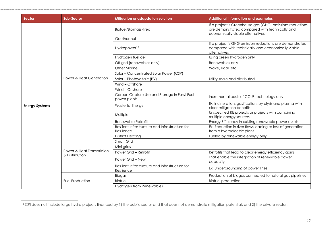| Sector                | <b>Sub-Sector</b>                           | Mitigation or adapdation solution                             | <b>Additional information and examples</b>                                                                                                     |
|-----------------------|---------------------------------------------|---------------------------------------------------------------|------------------------------------------------------------------------------------------------------------------------------------------------|
|                       |                                             | Biofuel/Biomass-fired                                         | If a project's Greenhouse gas (GHG) emissions reductions<br>are demonstrated compared with technically and<br>economically viable alternatives |
|                       |                                             | Geothermal                                                    |                                                                                                                                                |
|                       |                                             | Hydropower <sup>13</sup>                                      | If a project's GHG emission reductions are demonstrated<br>compared with technically and economically viable<br>alternatives                   |
|                       |                                             | Hydrogen fuel cell                                            | Using green hydrogen only                                                                                                                      |
|                       |                                             | Off grid (renewables only)                                    | Renewables only                                                                                                                                |
|                       |                                             | Other Marine                                                  | Wave, Tidal, etc                                                                                                                               |
|                       |                                             | Solar - Concentrated Solar Power (CSP)                        |                                                                                                                                                |
|                       | Power & Heat Generation                     | Solar - Photovoltaic (PV)                                     | Utility scale and distributed                                                                                                                  |
|                       |                                             | Wind - Offshore                                               |                                                                                                                                                |
|                       |                                             | Wind - Onshore                                                |                                                                                                                                                |
|                       |                                             | Carbon Capture Use and Storage in Fossil Fuel<br>power plants | Incremental costs of CCUS technology only                                                                                                      |
| <b>Energy Systems</b> |                                             | Waste-to-Energy                                               | Ex. incineration, gasification, pyrolysis and plasma with<br>clear mitigation benefits                                                         |
|                       |                                             | Multiple                                                      | Unspecified RE projects or projects with combining<br>multiple energy sources                                                                  |
|                       |                                             | Renewable Retrofit                                            | Energy Efficiency in existing renewable power assets                                                                                           |
|                       |                                             | Resilient Infrastructure and Infrastructure for<br>Resilience | Ex. Reduction in river flows leading to loss of generation<br>from a hydroelectric plant                                                       |
|                       | Power & Heat Transmission<br>& Distribution | <b>District Heating</b>                                       | Fueled by renewable energy only                                                                                                                |
|                       |                                             | Smart Grid                                                    |                                                                                                                                                |
|                       |                                             | Mini grids                                                    |                                                                                                                                                |
|                       |                                             | Power Grid - Retrofit                                         | Retrofits that lead to clear energy efficiency gains                                                                                           |
|                       |                                             | Power Grid - New                                              | That enable the integration of renewable power<br>capacity                                                                                     |
|                       |                                             | Resilient Infrastructure and Infrastructure for<br>Resilience | Ex. Undergrounding of power lines                                                                                                              |
|                       | <b>Fuel Production</b>                      | Biogas                                                        | Production of biogas connected to natural gas pipelines                                                                                        |
|                       |                                             | <b>Biofuel</b>                                                | <b>Biofuel production</b>                                                                                                                      |
|                       |                                             | Hydrogen from Renewables                                      |                                                                                                                                                |

<sup>&</sup>lt;sup>13</sup> CPI does not include large hydro projects financed by 1) the public sector and that does not demonstrate mitigation potential, and 2) the private sector.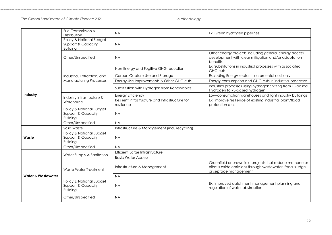*The Global Landscape of Climate Finance 2021 Methodology*

|                               | Fuel Transmission &<br>Distribution                               | <b>NA</b>                                                     | Ex. Green hydrogen pipelines                                                                                                                   |
|-------------------------------|-------------------------------------------------------------------|---------------------------------------------------------------|------------------------------------------------------------------------------------------------------------------------------------------------|
|                               | Policy & National Budget<br>Support & Capacity<br><b>Building</b> | <b>NA</b>                                                     |                                                                                                                                                |
|                               | Other/Unspecified                                                 | <b>NA</b>                                                     | Other energy projects including general energy access<br>development with clear mitigation and/or adaptation<br>benefits                       |
|                               |                                                                   | Non-Energy and Fugitive GHG reduction                         | Ex. Substitutions in industrial processes with associated<br><b>GHG cuts</b>                                                                   |
|                               | Industrial, Extraction, and                                       | Carbon Capture Use and Storage                                | Excluding Energy sector - Incremental cost only                                                                                                |
|                               | <b>Manufacturing Processes</b>                                    | Energy-Use Improvements & Other GHG cuts                      | Energy consumption and GHG cuts in industrial processes                                                                                        |
|                               |                                                                   | Substitution with Hydrogen from Renewables                    | Industrial processes using hydrogen shifting from FF-based<br>Hydrogen to RE-based hydrogen                                                    |
| Industry                      | Industry Infrastructure &                                         | <b>Energy Efficiency</b>                                      | Low-consumption warehouses and light industry buildings                                                                                        |
|                               | Warehouse                                                         | Resilient Infrastructure and Infrastructure for<br>resilience | Ex. Improve resilience of existing industrial plant/flood<br>protection etc.                                                                   |
|                               | Policy & National Budget<br>Support & Capacity<br><b>Building</b> | <b>NA</b>                                                     |                                                                                                                                                |
|                               | Other/Unspecified                                                 | <b>NA</b>                                                     |                                                                                                                                                |
|                               | Solid Waste                                                       | Infrastructure & Management (incl. recycling)                 |                                                                                                                                                |
| Waste                         | Policy & National Budget<br>Support & Capacity<br><b>Building</b> | <b>NA</b>                                                     |                                                                                                                                                |
|                               | Other/Unspecified                                                 | <b>NA</b>                                                     |                                                                                                                                                |
|                               | Water Supply & Sanitation                                         | Efficient Large Infrastructure                                |                                                                                                                                                |
|                               |                                                                   | <b>Basic Water Access</b>                                     |                                                                                                                                                |
|                               | Waste Water Treatment                                             | Infrastructure & Management                                   | Greenfield or brownfield projects that reduce methane or<br>nitrous oxide emissions through wastewater, fecal sludge,<br>or septage management |
| <b>Water &amp; Wastewater</b> |                                                                   | <b>NA</b>                                                     |                                                                                                                                                |
|                               | Policy & National Budget<br>Support & Capacity<br><b>Building</b> | <b>NA</b>                                                     | Ex. Improved catchment management planning and<br>regulation of water abstraction                                                              |
|                               | Other/Unspecified                                                 | <b>NA</b>                                                     |                                                                                                                                                |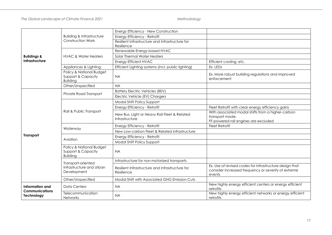*The Global Landscape of Climate Finance 2021 Methodology*

|                                          |                                                                   | Energy Efficiency - New Construction                           |                                                                                                                          |
|------------------------------------------|-------------------------------------------------------------------|----------------------------------------------------------------|--------------------------------------------------------------------------------------------------------------------------|
|                                          | <b>Building &amp; Infrastructure</b><br><b>Construction Work</b>  | Energy Efficiency - Retrofit                                   |                                                                                                                          |
|                                          |                                                                   | Resilient Infrastructure and Infrastructure for<br>Resilience  |                                                                                                                          |
|                                          | <b>HVAC &amp; Water Heaters</b>                                   | Renewable Energy-based HVAC                                    |                                                                                                                          |
| <b>Buildings &amp;</b>                   |                                                                   | Solar Thermal Water Heaters                                    |                                                                                                                          |
| Infrastructure                           |                                                                   | <b>Energy Efficient HVAC</b>                                   | Efficient cooling, etc.                                                                                                  |
|                                          | Appliances & Lighting                                             | Efficient Lighting systems (incl. public lighting)             | Ex. LEDs                                                                                                                 |
|                                          | Policy & National Budget<br>Support & Capacity<br><b>Building</b> | <b>NA</b>                                                      | Ex. More robust building regulations and improved<br>enforcement                                                         |
|                                          | Other/Unspecified                                                 | <b>NA</b>                                                      |                                                                                                                          |
|                                          | Private Road Transport                                            | <b>Battery Electric Vehicles (BEV)</b>                         |                                                                                                                          |
|                                          |                                                                   | Electric Vehicle (EV) Chargers                                 |                                                                                                                          |
|                                          | Rail & Public Transport                                           | Modal Shift Policy Support                                     |                                                                                                                          |
|                                          |                                                                   | Energy Efficiency - Retrofit                                   | Fleet Retrofit with clear energy efficiency gains                                                                        |
|                                          |                                                                   | New Bus, Light or Heavy Rail Fleet & Related<br>Infrastructure | With associated modal shifts from a higher-carbon<br>transport mode.<br>FF-powered rail engines are excluded             |
|                                          | Waterway                                                          | Energy Efficiency - Retrofit                                   | <b>Fleet Retrofit</b>                                                                                                    |
|                                          |                                                                   | New Low-carbon Fleet & Related Infrastructure                  |                                                                                                                          |
| <b>Transport</b>                         | Aviation                                                          | Energy Efficiency - Retrofit                                   |                                                                                                                          |
|                                          |                                                                   | Modal Shift Policy Support                                     |                                                                                                                          |
|                                          | Policy & National Budget<br>Support & Capacity<br><b>Building</b> | <b>NA</b>                                                      |                                                                                                                          |
|                                          | Transport-oriented                                                | Infrastructure for non-motorized transports                    |                                                                                                                          |
|                                          | Infrastructure and Urban<br>Development                           | Resilient Infrastructure and Infrastructure for<br>Resilience  | Ex. Use of revised codes for infrastructure design that<br>consider increased frequency or severity of extreme<br>events |
|                                          | Other/Unspecified                                                 | Modal Shift with Associated GHG Emission Cuts                  |                                                                                                                          |
| Information and<br><b>Communications</b> | <b>Data Centers</b>                                               | <b>NA</b>                                                      | New highly energy efficient centers or energy efficient<br>retrofits                                                     |
| Technology                               | Telecommunication<br>Networks                                     | <b>NA</b>                                                      | New highly energy efficient networks or energy efficient<br>retrofits                                                    |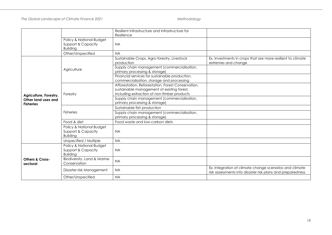#### *The Global Landscape of Climate Finance 2021 Methodology*

|                                         |                                                                   | Resilient Infrastructure and Infrastructure for<br>Resilience                                                                                   |                                                                                                                       |
|-----------------------------------------|-------------------------------------------------------------------|-------------------------------------------------------------------------------------------------------------------------------------------------|-----------------------------------------------------------------------------------------------------------------------|
|                                         | Policy & National Budget<br>Support & Capacity<br><b>Building</b> | <b>NA</b>                                                                                                                                       |                                                                                                                       |
|                                         | Other/Unspecified                                                 | <b>NA</b>                                                                                                                                       |                                                                                                                       |
|                                         |                                                                   | Sustainable Crops, Agro-forestry, Livestock<br>production                                                                                       | Ex. Investments in crops that are more resilient to climate<br>extremes and change                                    |
|                                         | Agriculture                                                       | Supply chain management (commercialisation,<br>primary processing & storage)                                                                    |                                                                                                                       |
|                                         |                                                                   | Financial services for sustainable production,<br>commercialisation, storage and processing                                                     |                                                                                                                       |
| Agriculture, Forestry,                  | Forestry                                                          | Afforestation, Reforestation, Forest Conservation,<br>sustainable management of existing forest,<br>including extraction of non-timber products |                                                                                                                       |
| Other land uses and<br><b>Fisheries</b> |                                                                   | Supply chain management (commercialisation,<br>primary processing & storage)                                                                    |                                                                                                                       |
|                                         |                                                                   | Sustainable fish production                                                                                                                     |                                                                                                                       |
|                                         | <b>Fisheries</b>                                                  | Supply chain management (commercialisation,<br>primary processing & storage)                                                                    |                                                                                                                       |
|                                         | Food & diet                                                       | Food waste and low-carbon diets                                                                                                                 |                                                                                                                       |
|                                         | Policy & National Budget<br>Support & Capacity<br><b>Building</b> | <b>NA</b>                                                                                                                                       |                                                                                                                       |
|                                         | Unspecified / Multiple                                            | <b>NA</b>                                                                                                                                       |                                                                                                                       |
|                                         | Policy & National Budget<br>Support & Capacity<br><b>Building</b> | <b>NA</b>                                                                                                                                       |                                                                                                                       |
| <b>Others &amp; Cross-</b><br>sectoral  | Biodiversity, Land & Marine<br>Conservation                       | <b>NA</b>                                                                                                                                       |                                                                                                                       |
|                                         | Disaster-risk Management                                          | <b>NA</b>                                                                                                                                       | Ex. Integration of climate change scenarios and climate<br>risk assessments into disaster risk plans and preparedness |
|                                         | Other/Unspecified                                                 | <b>NA</b>                                                                                                                                       |                                                                                                                       |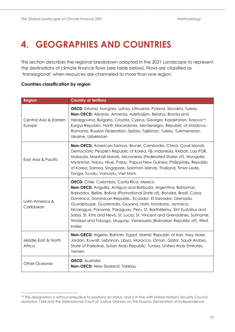## <span id="page-18-0"></span>**4. GEOGRAPHIES AND COUNTRIES**

This section describes the regional breakdown adopted in the 2021 *Landscape* to represent the destinations of climate finance flows (see table below). Flows are classified as 'transregional' when resources are channeled to more than one region.

#### **Countries classification by region**

| <b>Region</b>                    | <b>Country or territory</b>                                                                                                                                                                                                                                                                                                                                                                                                                                                                                                                                            |
|----------------------------------|------------------------------------------------------------------------------------------------------------------------------------------------------------------------------------------------------------------------------------------------------------------------------------------------------------------------------------------------------------------------------------------------------------------------------------------------------------------------------------------------------------------------------------------------------------------------|
| Central Asia & Eastern<br>Europe | <b>OECD:</b> Estonia, Hungary, Latvia, Lithuania, Poland, Slovakia, Turkey.<br>Non-OECD: Albania, Armenia, Azerbaijan, Belarus, Bosnia and<br>Herzegovina, Bulgaria, Croatia, Cyprus, Georgia, Kazakhstan, Kosovo <sup>14</sup> ,<br>Kyrgyz Republic, North Macedonia, Montenegro, Republic of Moldova,<br>Romania, Russian Federation, Serbia, Tajikistan, Turkey, Turkmenistan,<br>Ukraine, Uzbekistan                                                                                                                                                               |
| East Asia & Pacific              | Non-OECD: American Samoa, Brunei, Cambodia, China, Cook Islands,<br>Democratic People's Republic of Korea, Fiji, Indonesia, Kiribati, Lao PDR,<br>Malaysia, Marshall Islands, Micronesia (Federated States of), Mongolia,<br>Myanmar, Nauru, Niue, Palau, Papua New Guinea, Philippines, Republic<br>of Korea, Samoa, Singapore, Solomon Islands, Thailand, Timor-Leste,<br>Tonga, Tuvalu, Vanuatu, Viet Nam                                                                                                                                                           |
| Latin America &<br>Caribbean     | <b>OECD:</b> Chile, Colombia, Costa Rica, Mexico<br>Non-OECD: Anguilla, Antigua and Barbuda, Argentina, Bahamas,<br>Barbados, Belize, Bolivia (Plurinational State of), Bonaire, Brazil, Cuba,<br>Dominica, Dominican Republic, Ecuador, El Salvador, Grenada,<br>Guadeloupe, Guatemala, Guyana, Haiti, Honduras, Jamaica,<br>Nicaragua, Panama, Paraguay, Peru, St. Barthélemy, Sint Eustatius and<br>Saba, St. Kitts and Nevis, St. Lucia, St. Vincent and Grenadines, Suriname,<br>Trinidad and Tobago, Uruguay, Venezuela (Bolivarian Republic of), West<br>Indies |
| Middle East & North<br>Africa    | Non-OECD: Algeria, Bahrain, Egypt, Islamic Republic of Iran, Iraq, Israel,<br>Jordan, Kuwait, Lebanon, Libya, Morocco, Oman, Qatar, Saudi Arabia,<br>State of Palestine, Syrian Arab Republic, Tunisia, United Arab Emirates,<br>Yemen                                                                                                                                                                                                                                                                                                                                 |
| Other Oceania                    | <b>OECD:</b> Australia<br>Non-OECD: New Zealand, Tokelau                                                                                                                                                                                                                                                                                                                                                                                                                                                                                                               |

<sup>&</sup>lt;sup>14</sup> This designation is without prejudice to positions on status, and is in line with United Nations Security Council resolution 1244 and the International Court of Justice Opinion on the Kosovo Declaration of Independence.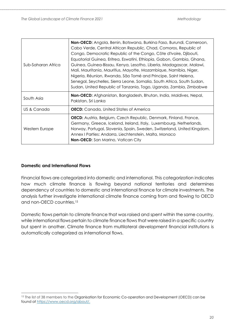| Sub-Saharan Africa | <b>Non-OECD:</b> Angola, Benin, Botswana, Burkina Faso, Burundi, Cameroon,<br>Cabo Verde, Central African Republic, Chad, Comoros, Republic of<br>Congo, Democratic Republic of the Congo, Côte d'Ivoire, Djibouti,<br>Equatorial Guinea, Eritrea, Eswatini, Ethiopia, Gabon, Gambia, Ghana,<br>Guinea, Guinea-Bissau, Kenya, Lesotho, Liberia, Madagascar, Malawi,<br>Mali, Mauritania, Mauritius, Mayotte, Mozambique, Namibia, Niger,<br>Nigeria, Réunion, Rwanda, São Tomé and Principe, Saint Helena,<br>Senegal, Seychelles, Sierra Leone, Somalia, South Africa, South Sudan,<br>Sudan, United Republic of Tanzania, Togo, Uganda, Zambia, Zimbabwe |
|--------------------|------------------------------------------------------------------------------------------------------------------------------------------------------------------------------------------------------------------------------------------------------------------------------------------------------------------------------------------------------------------------------------------------------------------------------------------------------------------------------------------------------------------------------------------------------------------------------------------------------------------------------------------------------------|
|                    | <b>Non-OECD:</b> Afghanistan, Bangladesh, Bhutan, India, Maldives, Nepal,                                                                                                                                                                                                                                                                                                                                                                                                                                                                                                                                                                                  |
| South Asia         | Pakistan, Sri Lanka                                                                                                                                                                                                                                                                                                                                                                                                                                                                                                                                                                                                                                        |
| US & Canada        | <b>OECD:</b> Canada, United States of America                                                                                                                                                                                                                                                                                                                                                                                                                                                                                                                                                                                                              |

#### **Domestic and International Flows**

Financial flows are categorized into domestic and international. This categorization indicates how much climate finance is flowing beyond national territories and determines dependency of countries to domestic and international finance for climate investments. The analysis further investigate international climate finance coming from and flowing to OECD and non-OECD countries.<sup>15</sup>

Domestic flows pertain to climate finance that was raised and spent within the same country, while international flows pertain to climate finance flows that were raised in a specific country but spent in another. Climate finance from multilateral development financial institutions is automatically categorized as international flows.

<sup>&</sup>lt;sup>15</sup> The list of 38 members to the Organisation for Economic Co-operation and Development (OECD) can be found at [https://www.oecd.org/about/.](https://www.oecd.org/about/)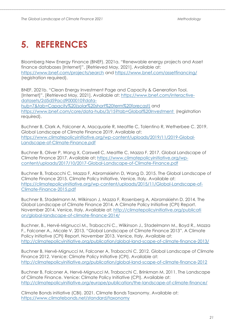## <span id="page-20-0"></span>**5. REFERENCES**

Bloomberg New Energy Finance (BNEF). 2021a. "Renewable energy projects and Asset finance databases [Internet]". [Retrieved May, 2021]. Available at: <https://www.bnef.com/projects/search> and<https://www.bnef.com/assetfinancing/> (registration required).

BNEF. 2021b. "Clean Energy Investment Page and Capacity & Generation Tool. [Internet]". [Retrieved May, 2021]. Available at: [https://www.bnef.com/interactive](https://www.bnef.com/interactive-datasets/2d5d59acd9000010?data-hub=7&tab=Capacity%20(solar%20short%20term%20forecast))[datasets/2d5d59acd9000010?data](https://www.bnef.com/interactive-datasets/2d5d59acd9000010?data-hub=7&tab=Capacity%20(solar%20short%20term%20forecast))[hub=7&tab=Capacity%20\(solar%20short%20term%20forecast\)](https://www.bnef.com/interactive-datasets/2d5d59acd9000010?data-hub=7&tab=Capacity%20(solar%20short%20term%20forecast)) and <https://www.bnef.com/core/data-hubs/3/15?tab=Global%20Investment> (registration required).

Buchner B, Clark A, Falconer A, Macquarie R, Meattle C, Tolentino R, Wetherbee C. 2019. Global Landscape of Climate Finance 2019. Available at: [https://www.climatepolicyinitiative.org/wp-content/uploads/2019/11/2019-Global-](https://www.climatepolicyinitiative.org/wp-content/uploads/2019/11/2019-Global-Landscape-of-Climate-Finance.pdf)[Landscape-of-Climate-Finance.pdf](https://www.climatepolicyinitiative.org/wp-content/uploads/2019/11/2019-Global-Landscape-of-Climate-Finance.pdf)

Buchner B, Oliver P, Wang X, Carswell C, Meattle C, Mazza F. 2017. Global Landscape of Climate Finance 2017. Available at: [https://www.climatepolicyinitiative.org/wp](https://www.climatepolicyinitiative.org/wp-content/uploads/2017/10/2017-Global-Landscape-of-Climate-Finance.pdf)[content/uploads/2017/10/2017-Global-Landscape-of-Climate-Finance.pdf](https://www.climatepolicyinitiative.org/wp-content/uploads/2017/10/2017-Global-Landscape-of-Climate-Finance.pdf)

Buchner B, Trabacchi C, Mazza F, Abramskiehn D, Wang D. 2015. The Global Landscape of Climate Finance 2015. Climate Policy Initiative, Venice, Italy. Available at: [https://climatepolicyinitiative.org/wp-content/uploads/2015/11/Global-Landscape-of-](https://climatepolicyinitiative.org/wp-content/uploads/2015/11/Global-Landscape-of-Climate-Finance-2015.pdf)[Climate-Finance-2015.pdf](https://climatepolicyinitiative.org/wp-content/uploads/2015/11/Global-Landscape-of-Climate-Finance-2015.pdf)

Buchner B, Stadelmann M, Wilkinson J, Mazza F, Rosenberg A, Abramskiehn D. 2014. The Global Landscape of Climate Finance 2014. A Climate Policy Initiative (CPI) Report. November 2014. Venice, Italy. Available at: [http://climatepolicyinitiative.org/publicati](http://climatepolicyinitiative.org/publicati%20on/global-landscape-of-climate-finance-2014/)  [on/global-landscape-of-climate-finance-2014/](http://climatepolicyinitiative.org/publicati%20on/global-landscape-of-climate-finance-2014/)

Buchner, B., Hervé-Mignucci M., Trabacchi C., Wilkinson J., Stadelmann M., Boyd R., Mazza F., Falconer A., Micale V. 2013. "Global Landscape of Climate Finance 2013". A Climate Policy Initiative (CPI) Report. November 2013. Venice, Italy. Available at: <http://climatepolicyinitiative.org/publication/global-land-scape-of-climate-finance-2013/>

Buchner B, Hervé-Mignucci M, Falconer A, Trabacchi C. 2012. Global Landscape of Climate Finance 2012. Venice: Climate Policy Initiative (CPI). Available at: <http://climatepolicyinitiative.org/publication/global-land-scape-of-climate-finance-2012>

Buchner B, Falconer A, Hervé-Mignucci M, Trabacchi C, Brinkman M. 2011. The Landscape of Climate Finance. Venice: Climate Policy Initiative (CPI). Available at: <http://climatepolicyinitiative.org/europe/publication/the-landscape-of-climate-finance/>

Climate Bonds initiative (CBI). 2021. Climate Bonds Taxonomy. Available at: <https://www.climatebonds.net/standard/taxonomy>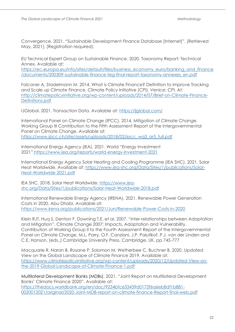Convergence. 2021. "Sustainable Development Finance Database [Internet]". [Retrieved May, 2021]. (Registration required).

EU Technical Expert Group on Sustainable Finance. 2020. Taxonomy Report: Technical Annex. Available at:

[https://ec.europa.eu/info/sites/default/files/business\\_economy\\_euro/banking\\_and\\_finance](https://ec.europa.eu/info/sites/default/files/business_economy_euro/banking_and_finance/documents/200309-sustainable-finance-teg-final-report-taxonomy-annexes_en.pdf) [/documents/200309-sustainable-finance-teg-final-report-taxonomy-annexes\\_en.pdf](https://ec.europa.eu/info/sites/default/files/business_economy_euro/banking_and_finance/documents/200309-sustainable-finance-teg-final-report-taxonomy-annexes_en.pdf) 

Falconer A, Stadelmann M. 2014. What is Climate Finance? Definition to Improve Tracking and Scale up Climate Finance. Climate Policy Initiative (CPI). Venice: CPI. At: [http://climatepolicyinitiative.org/wp-content/uploads/2014/07/Brief-on-Climate-Finance-](http://climatepolicyinitiative.org/wp-content/uploads/2014/07/Brief-on-Climate-Finance-Definitions.pdf)[Definitions.pdf](http://climatepolicyinitiative.org/wp-content/uploads/2014/07/Brief-on-Climate-Finance-Definitions.pdf)

IJGlobal. 2021. Transaction Data. Available at:<https://ijglobal.com/>

International Panel on Climate Change (IPCC). 2014. Mitigation of Climate Change. Working Group III Contribution to the Fifth Assessment Report of the Intergovernmental Panel on Climate Change. Available at:

[https://www.ipcc.ch/site/assets/uploads/2018/02/ipcc\\_wg3\\_ar5\\_full.pdf](https://www.ipcc.ch/site/assets/uploads/2018/02/ipcc_wg3_ar5_full.pdf)

International Energy Agency (IEA). 2021. World "Energy Investment 2021".https://www.iea.org/reports/world-energy-investment-2021

International Energy Agency Solar Heating and Cooling Programme (IEA SHC). 2021. Solar Heat Worldwide. Available at: [https://www.iea-shc.org/Data/Sites/1/publications/Solar-](https://www.iea-shc.org/Data/Sites/1/publications/Solar-Heat-Worldwide-2021.pdf)[Heat-Worldwide-2021.pdf](https://www.iea-shc.org/Data/Sites/1/publications/Solar-Heat-Worldwide-2021.pdf)

IEA SHC. 2018. Solar Heat Worldwide. [https://www.iea](https://www.iea-shc.org/Data/Sites/1/publications/Solar-Heat-Worldwide-2018.pdf)[shc.org/Data/Sites/1/publications/Solar-Heat-Worldwide-2018.pdf](https://www.iea-shc.org/Data/Sites/1/publications/Solar-Heat-Worldwide-2018.pdf)

International Renewable Energy Agency (IRENA). 2021. Renewable Power Generation Costs in 2020. Abu Dhabi. Available at: <https://www.irena.org/publications/2021/Jun/Renewable-Power-Costs-in-2020>

Klein RJT, Huq S, Denton F, Downing T.E. et al. 2007. "Inter-relationships between Adaptation and Mitigation". Climate Change 2007: Impacts, Adaptation and Vulnerability. Contribution of Working Group II to the Fourth Assessment Report of the Intergovernmental Panel on Climate Change. M.L. Parry, O.F. Canziani, J.P. Palutikof, P.J. van der Linden and C.E. Hanson, (eds.,) Cambridge University Press, Cambridge, UK, pp 745-777

Macquarie R, Naran B, Rosane P, Solomon M, Wetherbee C, Buchner B. 2020. Updated View on the Global Landscape of Climate Finance 2019. Available at: [https://www.climatepolicyinitiative.org/wp-content/uploads/2020/12/Updated-View-on](https://www.climatepolicyinitiative.org/wp-content/uploads/2020/12/Updated-View-on-the-2019-Global-Landscape-of-Climate-Finance-1.pdf)[the-2019-Global-Landscape-of-Climate-Finance-1.pdf](https://www.climatepolicyinitiative.org/wp-content/uploads/2020/12/Updated-View-on-the-2019-Global-Landscape-of-Climate-Finance-1.pdf)

Multilateral Development Banks (MDBs). 2021. "Joint Report on Multilateral Development Banks' Climate Finance 2020". Available at: [https://thedocs.worldbank.org/en/doc/9234bfc633439d0172f6a6eb8df1b881-](https://thedocs.worldbank.org/en/doc/9234bfc633439d0172f6a6eb8df1b881-0020012021/original/2020-Joint-MDB-report-on-climate-finance-Report-final-web.pdf) [0020012021/original/2020-Joint-MDB-report-on-climate-finance-Report-final-web.pdf](https://thedocs.worldbank.org/en/doc/9234bfc633439d0172f6a6eb8df1b881-0020012021/original/2020-Joint-MDB-report-on-climate-finance-Report-final-web.pdf)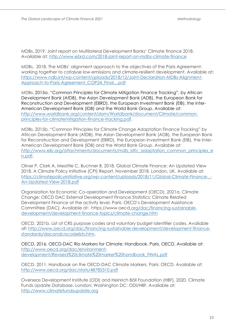MDBs. 2019. Joint report on Multilateral Development Banks' Climate finance 2018. Available at:<http://www.ebrd.com/2018-joint-report-on-mdbs-climate-finance>

MDBs. 2018. The MDBs' alignment approach to the objectives of the Paris Agreement: working together to catalyse low-emissions and climate-resilient development. Available at: [https://www.ndb.int/wp-content/uploads/2018/12/Joint-Declaration-MDBs-Alignment-](https://www.ndb.int/wp-content/uploads/2018/12/Joint-Declaration-MDBs-Alignment-Approach-to-Paris-Agreement_COP24_Final....pdf)[Approach-to-Paris-Agreement\\_COP24\\_Final....pdf](https://www.ndb.int/wp-content/uploads/2018/12/Joint-Declaration-MDBs-Alignment-Approach-to-Paris-Agreement_COP24_Final....pdf)

MDBs. 2015a. "Common Principles for Climate Mitigation Finance Tracking", by African Development Bank (AfDB), the Asian Development Bank (ADB), the European Bank for Reconstruction and Development (EBRD), the European Investment Bank (EIB), the Inter-American Development Bank (IDB) and the World Bank Group. Available at: [http://www.worldbank.org/content/dam/Worldbank/document/Climate/common](http://www.worldbank.org/content/dam/Worldbank/document/Climate/common-principles-for-climatemitigation-finance-tracking.pdf)[principles-for-climatemitigation-finance-tracking.pdf.](http://www.worldbank.org/content/dam/Worldbank/document/Climate/common-principles-for-climatemitigation-finance-tracking.pdf)

MDBs. 2015b. "Common Principles for Climate Change Adaptation Finance Tracking" by African Development Bank (AfDB), the Asian Development Bank (ADB), the European Bank for Reconstruction and Development (EBRD), the European Investment Bank (EIB), the Inter-American Development Bank (IDB) and the World Bank Group. Available at: [http://www.eib.org/attachments/documents/mdb\\_idfc\\_adaptation\\_common\\_principles\\_e](http://www.eib.org/attachments/documents/mdb_idfc_adaptation_common_principles_en.pdf) [n.pdf.](http://www.eib.org/attachments/documents/mdb_idfc_adaptation_common_principles_en.pdf)

Oliver P, Clark A, Meattle C, Buchner B. 2018. Global Climate Finance: An Updated View 2018. A Climate Policy Initiative (CPI) Report. November 2018. London, UK. Available at: https://climatepolicyinitiative.org/wp-content/uploads/2018/11/Global-Climate-Finance--[An-Updated-View-2018.pdf](https://climatepolicyinitiative.org/wp-content/uploads/2018/11/Global-Climate-Finance-_-An-Updated-View-2018.pdf)

Organization for Economic Co-operation and Development (OECD). 2021a. Climate Change: OECD DAC External Development Finance Statistics; Climate Related Development Finance at the activity level. Paris: OECD's Development Assistance Committee (DAC). Available at: [https://www.oecd.org/dac/financing-sustainable](https://www.oecd.org/dac/financing-sustainable-development/development-finance-topics/climate-change.htm)[development/development-finance-topics/climate-change.htm](https://www.oecd.org/dac/financing-sustainable-development/development-finance-topics/climate-change.htm)

OECD. 2021b. List of CRS purpose codes and voluntary budget identifier codes. Available at: [http://www.oecd.org/dac/financing-sustainable-development/development-finance](http://www.oecd.org/dac/financing-sustainable-development/development-finance-standards/dacandcrscodelists.htm)[standards/dacandcrscodelists.htm.](http://www.oecd.org/dac/financing-sustainable-development/development-finance-standards/dacandcrscodelists.htm)

OECD. 2016. OECD-DAC Rio Markers for Climate: Handbook. Paris, OECD. Available at: [http://www.oecd.org/dac/environment](http://www.oecd.org/dac/environment-development/Revised%20climate%20marker%20handbook_FINAL.pdf)[development/Revised%20climate%20marker%20handbook\\_FINAL.pdf](http://www.oecd.org/dac/environment-development/Revised%20climate%20marker%20handbook_FINAL.pdf) 

OECD. 2011. Handbook on the OECD-DAC Climate Markers. Paris: OECD. Available at: <http://www.oecd.org/dac/stats/48785310.pdf>

Overseas Development Institute (ODI) and Heinrich Böll Foundation (HBF). 2020. Climate Funds Update Database. London; Washington DC: ODI/HBF. Available at: [http://www.climatefundsupdate.org](http://www.climatefundsupdate.org/)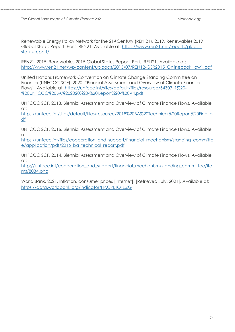Renewable Energy Policy Network for the 21st Century (REN 21). 2019. Renewables 2019 Global Status Report. Paris: REN21. Available at: [https://www.ren21.net/reports/global](https://www.ren21.net/reports/global-status-report/)[status-report/](https://www.ren21.net/reports/global-status-report/)

REN21. 2015. Renewables 2015 Global Status Report. Paris: REN21. Available at: [http://www.ren21.net/wp-content/uploads/2015/07/REN12-GSR2015\\_Onlinebook\\_low1.pdf](http://www.ren21.net/wp-content/uploads/2015/07/REN12-GSR2015_Onlinebook_low1.pdf)

United Nations Framework Convention on Climate Change Standing Committee on Finance (UNFCCC SCF). 2020. "Biennial Assessment and Overview of Climate Finance Flows". Available at: [https://unfccc.int/sites/default/files/resource/54307\\_1%20-](https://unfccc.int/sites/default/files/resource/54307_1%20-%20UNFCCC%20BA%202020%20-%20Report%20-%20V4.pdf) [%20UNFCCC%20BA%202020%20-%20Report%20-%20V4.pdf](https://unfccc.int/sites/default/files/resource/54307_1%20-%20UNFCCC%20BA%202020%20-%20Report%20-%20V4.pdf)

UNFCCC SCF. 2018. Biennial Assessment and Overview of Climate Finance Flows. Available at:

[https://unfccc.int/sites/default/files/resource/2018%20BA%20Technical%20Report%20Final.p](https://unfccc.int/sites/default/files/resource/2018%20BA%20Technical%20Report%20Final.pdf) [df](https://unfccc.int/sites/default/files/resource/2018%20BA%20Technical%20Report%20Final.pdf)

UNFCCC SCF. 2016. Biennial Assessment and Overview of Climate Finance Flows. Available at:

[https://unfccc.int/files/cooperation\\_and\\_support/financial\\_mechanism/standing\\_committe](https://unfccc.int/files/cooperation_and_support/financial_mechanism/standing_committee/application/pdf/2016_ba_technical_report.pdf) e/application/pdf/2016 ba technical report.pdf

UNFCCC SCF. 2014. Biennial Assessment and Overview of Climate Finance Flows. Available at:

[http://unfccc.int/cooperation\\_and\\_support/financial\\_mechanism/standing\\_committee/ite](http://unfccc.int/cooperation_and_support/financial_mechanism/standing_committee/items/8034.php) [ms/8034.php](http://unfccc.int/cooperation_and_support/financial_mechanism/standing_committee/items/8034.php)

World Bank. 2021. Inflation, consumer prices [Internet]. [Retrieved July, 2021]. Available at: <https://data.worldbank.org/indicator/FP.CPI.TOTL.ZG>